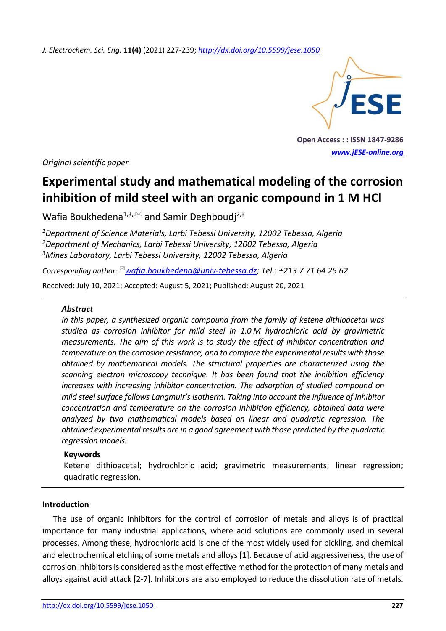*J. Electrochem. Sci. Eng.* **11(4)** (2021) 227-239; *<http://dx.doi.org/10.5599/jese.1050>*



**Open Access : : ISSN 1847-9286** *[www.jESE-online.org](http://www.jese-online.org/)*

*Original scientific paper*

# **Experimental study and mathematical modeling of the corrosion inhibition of mild steel with an organic compound in 1 M HCl**

Wafia Boukhedena<sup>1,3, $\approx$  and Samir Deghboudj<sup>2,3</sup></sup>

*<sup>1</sup>Department of Science Materials, Larbi Tebessi University, 12002 Tebessa, Algeria <sup>2</sup>Department of Mechanics, Larbi Tebessi University, 12002 Tebessa, Algeria <sup>3</sup>Mines Laboratory, Larbi Tebessi University, 12002 Tebessa, Algeria*

*Corresponding author: [wafia.boukhedena@univ-tebessa.dz;](mailto:wafia.boukhedena@univ-tebessa.dz) Tel.: +213 7 71 64 25 62*

Received: July 10, 2021; Accepted: August 5, 2021; Published: August 20, 2021

#### *Abstract*

*In this paper, a synthesized organic compound from the family of ketene dithioacetal was studied as corrosion inhibitor for mild steel in 1.0 M hydrochloric acid by gravimetric measurements. The aim of this work is to study the effect of inhibitor concentration and temperature on the corrosion resistance, and to compare the experimental results with those obtained by mathematical models. The structural properties are characterized using the scanning electron microscopy technique. It has been found that the inhibition efficiency increases with increasing inhibitor concentration. The adsorption of studied compound on mild steel surface follows Langmuir's isotherm. Taking into account the influence of inhibitor concentration and temperature on the corrosion inhibition efficiency, obtained data were analyzed by two mathematical models based on linear and quadratic regression. The obtained experimental results are in a good agreement with those predicted by the quadratic regression models.*

## **Keywords**

Ketene dithioacetal; hydrochloric acid; gravimetric measurements; linear regression; quadratic regression.

#### **Introduction**

The use of organic inhibitors for the control of corrosion of metals and alloys is of practical importance for many industrial applications, where acid solutions are commonly used in several processes. Among these, hydrochloric acid is one of the most widely used for pickling, and chemical and electrochemical etching of some metals and alloys [1]. Because of acid aggressiveness, the use of corrosion inhibitors is considered as the most effective method for the protection of many metals and alloys against acid attack [2-7]. Inhibitors are also employed to reduce the dissolution rate of metals.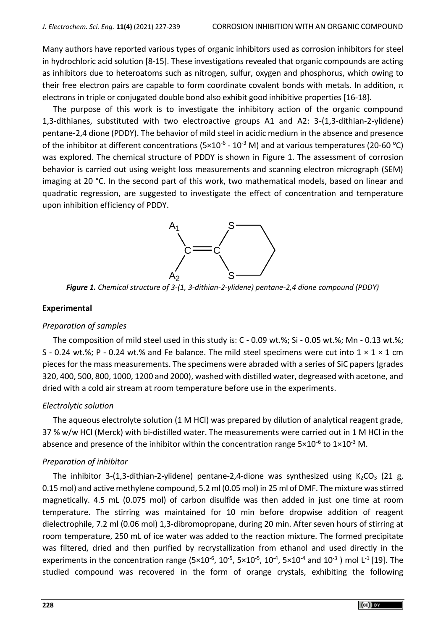Many authors have reported various types of organic inhibitors used as corrosion inhibitors for steel in hydrochloric acid solution [8-15]. These investigations revealed that organic compounds are acting as inhibitors due to heteroatoms such as nitrogen, sulfur, oxygen and phosphorus, which owing to their free electron pairs are capable to form coordinate covalent bonds with metals. In addition,  $π$ electrons in triple or conjugated double bond also exhibit good inhibitive properties [16-18].

The purpose of this work is to investigate the inhibitory action of the organic compound 1,3-dithianes, substituted with two electroactive groups A1 and A2: 3-(1,3-dithian-2-ylidene) pentane-2,4 dione (PDDY). The behavior of mild steel in acidic medium in the absence and presence of the inhibitor at different concentrations (5×10<sup>-6</sup> - 10<sup>-3</sup> M) and at various temperatures (20-60 °C) was explored. The chemical structure of PDDY is shown in Figure 1. The assessment of corrosion behavior is carried out using weight loss measurements and scanning electron micrograph (SEM) imaging at 20 °C. In the second part of this work, two mathematical models, based on linear and quadratic regression, are suggested to investigate the effect of concentration and temperature upon inhibition efficiency of PDDY.



*Figure 1. Chemical structure of 3-(1, 3-dithian-2-ylidene) pentane-2,4 dione compound (PDDY)*

#### **Experimental**

#### *Preparation of samples*

The composition of mild steel used in this study is: C - 0.09 wt.%; Si - 0.05 wt.%; Mn - 0.13 wt.%; S - 0.24 wt.%; P - 0.24 wt.% and Fe balance. The mild steel specimens were cut into  $1 \times 1 \times 1$  cm pieces for the mass measurements. The specimens were abraded with a series of SiC papers (grades 320, 400, 500, 800, 1000, 1200 and 2000), washed with distilled water, degreased with acetone, and dried with a cold air stream at room temperature before use in the experiments.

#### *Electrolytic solution*

The aqueous electrolyte solution (1 M HCl) was prepared by dilution of analytical reagent grade, 37 % w/w HCl (Merck) with bi-distilled water. The measurements were carried out in 1 M HCl in the absence and presence of the inhibitor within the concentration range  $5\times10^{-6}$  to  $1\times10^{-3}$  M.

#### *Preparation of inhibitor*

The inhibitor 3-(1,3-dithian-2-ylidene) pentane-2,4-dione was synthesized using  $K_2CO_3$  (21 g, 0.15 mol) and active methylene compound, 5.2 ml (0.05 mol) in 25 ml of DMF. The mixture was stirred magnetically. 4.5 mL (0.075 mol) of carbon disulfide was then added in just one time at room temperature. The stirring was maintained for 10 min before dropwise addition of reagent dielectrophile, 7.2 ml (0.06 mol) 1,3-dibromopropane, during 20 min. After seven hours of stirring at room temperature, 250 mL of ice water was added to the reaction mixture. The formed precipitate was filtered, dried and then purified by recrystallization from ethanol and used directly in the experiments in the concentration range (5×10<sup>-6</sup>, 10<sup>-5</sup>, 5×10<sup>-5</sup>, 10<sup>-4</sup>, 5×10<sup>-4</sup> and 10<sup>-3</sup>) mol L<sup>-1</sup> [19]. The studied compound was recovered in the form of orange crystals, exhibiting the following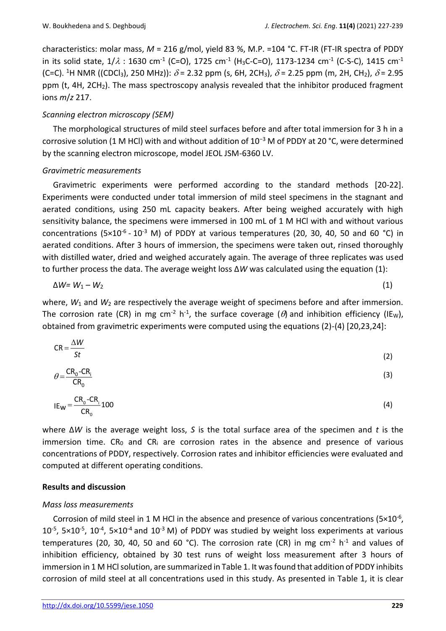characteristics: molar mass, *M* = 216 g/mol, yield 83 %, M.P. =104 °C. FT-IR (FT-IR spectra of PDDY in its solid state, 1/ $\lambda$  : 1630 cm<sup>-1</sup> (C=O), 1725 cm<sup>-1</sup> (H<sub>3</sub>C-C=O), 1173-1234 cm<sup>-1</sup> (C-S-C), 1415 cm<sup>-1</sup> (C=C). <sup>1</sup>H NMR ((CDCl<sub>3</sub>), 250 MHz)):  $\delta$  = 2.32 ppm (s, 6H, 2CH<sub>3</sub>),  $\delta$  = 2.25 ppm (m, 2H, CH<sub>2</sub>),  $\delta$  = 2.95 ppm (t, 4H, 2CH<sub>2</sub>). The mass spectroscopy analysis revealed that the inhibitor produced fragment ions *m*/*z* 217.

## *Scanning electron microscopy (SEM)*

The morphological structures of mild steel surfaces before and after total immersion for 3 h in a corrosive solution (1 M HCl) with and without addition of 10−3 M of PDDY at 20 °C, were determined by the scanning electron microscope, model JEOL JSM-6360 LV.

#### *Gravimetric measurements*

Gravimetric experiments were performed according to the standard methods [20-22]. Experiments were conducted under total immersion of mild steel specimens in the stagnant and aerated conditions, using 250 mL capacity beakers. After being weighed accurately with high sensitivity balance, the specimens were immersed in 100 mL of 1 M HCl with and without various concentrations (5×10<sup>-6</sup> - 10<sup>-3</sup> M) of PDDY at various temperatures (20, 30, 40, 50 and 60 °C) in aerated conditions. After 3 hours of immersion, the specimens were taken out, rinsed thoroughly with distilled water, dried and weighed accurately again. The average of three replicates was used to further process the data. The average weight loss ∆*W* was calculated using the equation (1):

$$
\Delta W = W_1 - W_2 \tag{1}
$$

where,  $W_1$  and  $W_2$  are respectively the average weight of specimens before and after immersion. The corrosion rate (CR) in mg cm<sup>-2</sup> h<sup>-1</sup>, the surface coverage ( $\theta$ ) and inhibition efficiency (IE<sub>W</sub>), obtained from gravimetric experiments were computed using the equations (2)-(4) [20,23,24]:

$$
CR = \frac{\Delta W}{St}
$$
 (2)

$$
\theta = \frac{CR_0 - CR_i}{CR_0} \tag{3}
$$

$$
IE_{W} = \frac{CR_{0} - CR_{i}}{CR_{0}} 100
$$
\n
$$
\tag{4}
$$

where ∆*W* is the average weight loss, *S* is the total surface area of the specimen and *t* is the immersion time.  $CR_0$  and  $CR_i$  are corrosion rates in the absence and presence of various concentrations of PDDY, respectively. Corrosion rates and inhibitor efficiencies were evaluated and computed at different operating conditions.

#### **Results and discussion**

## *Mass loss measurements*

Corrosion of mild steel in 1 M HCl in the absence and presence of various concentrations (5×10<sup>-6</sup>,  $10^{-5}$ , 5×10<sup>-5</sup>, 10<sup>-4</sup>, 5×10<sup>-4</sup> and 10<sup>-3</sup> M) of PDDY was studied by weight loss experiments at various temperatures (20, 30, 40, 50 and 60 °C). The corrosion rate (CR) in mg cm<sup>-2</sup> h<sup>-1</sup> and values of inhibition efficiency, obtained by 30 test runs of weight loss measurement after 3 hours of immersion in 1 M HCl solution, are summarized in Table 1. It was found that addition of PDDY inhibits corrosion of mild steel at all concentrations used in this study. As presented in Table 1, it is clear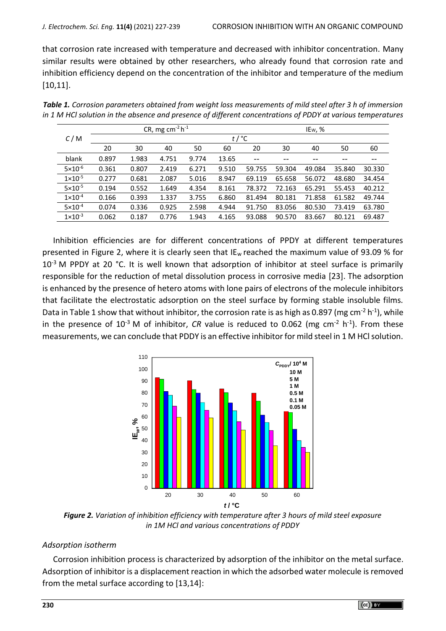that corrosion rate increased with temperature and decreased with inhibitor concentration. Many similar results were obtained by other researchers, who already found that corrosion rate and inhibition efficiency depend on the concentration of the inhibitor and temperature of the medium [10,11].

|                    |                    |       | CR, mg $cm^{-2} h^{-1}$ |       |       |        |        | IEw, % |        |        |
|--------------------|--------------------|-------|-------------------------|-------|-------|--------|--------|--------|--------|--------|
| C/M                | $t$ / $^{\circ}$ C |       |                         |       |       |        |        |        |        |        |
|                    | 20                 | 30    | 40                      | 50    | 60    | 20     | 30     | 40     | 50     | 60     |
| blank              | 0.897              | 1.983 | 4.751                   | 9.774 | 13.65 | $-$    | --     | --     | --     |        |
| $5 \times 10^{-6}$ | 0.361              | 0.807 | 2.419                   | 6.271 | 9.510 | 59.755 | 59.304 | 49.084 | 35.840 | 30.330 |
| $1 \times 10^{-5}$ | 0.277              | 0.681 | 2.087                   | 5.016 | 8.947 | 69.119 | 65.658 | 56.072 | 48.680 | 34.454 |
| $5 \times 10^{-5}$ | 0.194              | 0.552 | 1.649                   | 4.354 | 8.161 | 78.372 | 72.163 | 65.291 | 55.453 | 40.212 |
| $1 \times 10^{-4}$ | 0.166              | 0.393 | 1.337                   | 3.755 | 6.860 | 81.494 | 80.181 | 71.858 | 61.582 | 49.744 |
| $5 \times 10^{-4}$ | 0.074              | 0.336 | 0.925                   | 2.598 | 4.944 | 91.750 | 83.056 | 80.530 | 73.419 | 63.780 |
| $1 \times 10^{-3}$ | 0.062              | 0.187 | 0.776                   | 1.943 | 4.165 | 93.088 | 90.570 | 83.667 | 80.121 | 69.487 |

*Table 1. Corrosion parameters obtained from weight loss measurements of mild steel after 3 h of immersion in 1 M HCl solution in the absence and presence of different concentrations of PDDY at various temperatures*

Inhibition efficiencies are for different concentrations of PPDY at different temperatures presented in Figure 2, where it is clearly seen that IE<sub>w</sub> reached the maximum value of 93.09 % for  $10^{-3}$  M PPDY at 20 °C. It is well known that adsorption of inhibitor at steel surface is primarily responsible for the reduction of metal dissolution process in corrosive media [23]. The adsorption is enhanced by the presence of hetero atoms with lone pairs of electrons of the molecule inhibitors that facilitate the electrostatic adsorption on the steel surface by forming stable insoluble films. Data in Table 1 show that without inhibitor, the corrosion rate is as high as 0.897 (mg cm<sup>-2</sup> h<sup>-1</sup>), while in the presence of 10<sup>-3</sup> M of inhibitor, *CR* value is reduced to 0.062 (mg cm<sup>-2</sup> h<sup>-1</sup>). From these measurements, we can conclude that PDDY is an effective inhibitor for mild steel in 1 M HCl solution.



*Figure 2. Variation of inhibition efficiency with temperature after 3 hours of mild steel exposure in 1M HCl and various concentrations of PDDY*

## *Adsorption isotherm*

Corrosion inhibition process is characterized by adsorption of the inhibitor on the metal surface. Adsorption of inhibitor is a displacement reaction in which the adsorbed water molecule isremoved from the metal surface according to [13,14]: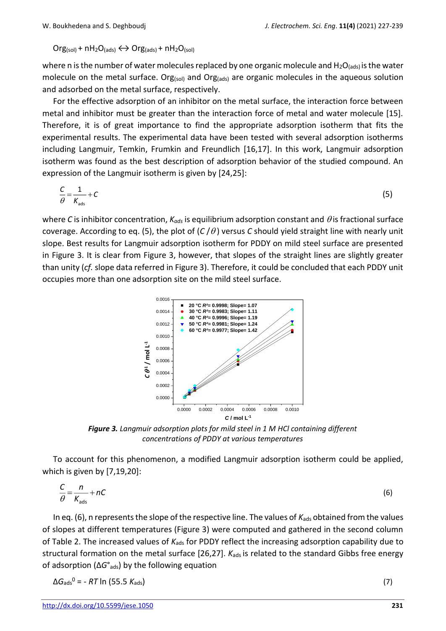$Org_{(sol)} + nH_2O_{(ads)} \leftrightarrow Org_{(ads)} + nH_2O_{(sol)}$ 

where n is the number of water molecules replaced by one organic molecule and  $H_2O_{(ads)}$  is the water molecule on the metal surface. Org(sol) and Org(ads) are organic molecules in the aqueous solution and adsorbed on the metal surface, respectively.

For the effective adsorption of an inhibitor on the metal surface, the interaction force between metal and inhibitor must be greater than the interaction force of metal and water molecule [15]. Therefore, it is of great importance to find the appropriate adsorption isotherm that fits the experimental results. The experimental data have been tested with several adsorption isotherms including Langmuir, Temkin, Frumkin and Freundlich [16,17]. In this work, Langmuir adsorption isotherm was found as the best description of adsorption behavior of the studied compound. An expression of the Langmuir isotherm is given by [24,25]:

$$
\frac{C}{\theta} = \frac{1}{K_{\text{ads}}} + C \tag{5}
$$

where *C* is inhibitor concentration,  $K_{ads}$  is equilibrium adsorption constant and  $\theta$  is fractional surface coverage. According to eq. (5), the plot of  $(C/\theta)$  versus *C* should yield straight line with nearly unit slope. Best results for Langmuir adsorption isotherm for PDDY on mild steel surface are presented in Figure 3. It is clear from Figure 3, however, that slopes of the straight lines are slightly greater than unity (*cf.* slope data referred in Figure 3). Therefore, it could be concluded that each PDDY unit occupies more than one adsorption site on the mild steel surface.



*Figure 3. Langmuir adsorption plots for mild steel in 1 M HCl containing different concentrations of PDDY at various temperatures*

To account for this phenomenon, a modified Langmuir adsorption isotherm could be applied, which is given by [7,19,20]:

$$
\frac{C}{\theta} = \frac{n}{K_{\text{ads}}} + nC \tag{6}
$$

In eq. (6), n represents the slope of the respective line. The values of *K*<sub>ads</sub> obtained from the values of slopes at different temperatures (Figure 3) were computed and gathered in the second column of Table 2. The increased values of K<sub>ads</sub> for PDDY reflect the increasing adsorption capability due to structural formation on the metal surface [26,27]. *K*<sub>ads</sub> is related to the standard Gibbs free energy of adsorption (∆*G*°ads) by the following equation

$$
\Delta G_{\text{ads}}^0 = -RT \ln (55.5 K_{\text{ads}}) \tag{7}
$$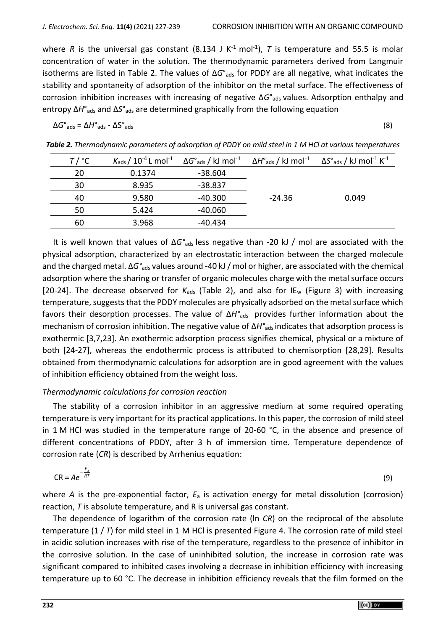where R is the universal gas constant (8.134 J K<sup>-1</sup> mol<sup>-1</sup>), T is temperature and 55.5 is molar concentration of water in the solution. The thermodynamic parameters derived from Langmuir isotherms are listed in Table 2. The values of ∆*G*°ads for PDDY are all negative, what indicates the stability and spontaneity of adsorption of the inhibitor on the metal surface. The effectiveness of corrosion inhibition increases with increasing of negative  $\Delta G^{\circ}$ <sub>ads</sub> values. Adsorption enthalpy and entropy ∆*H*°ads and ∆*S*°ads are determined graphically from the following equation

$$
\Delta G^{\circ}{}_{ads} = \Delta H^{\circ}{}_{ads} - \Delta S^{\circ}{}_{ads} \tag{8}
$$

| $T/$ °C |        |           |          | $K_{\text{ads}}/10^{-4}$ L mol <sup>-1</sup> $\Delta G^{\circ}$ <sub>ads</sub> / kJ mol <sup>-1</sup> $\Delta H^{\circ}$ <sub>ads</sub> / kJ mol <sup>-1</sup> $\Delta S^{\circ}$ <sub>ads</sub> / kJ mol <sup>-1</sup> K <sup>-1</sup> |
|---------|--------|-----------|----------|-----------------------------------------------------------------------------------------------------------------------------------------------------------------------------------------------------------------------------------------|
| 20      | 0.1374 | $-38.604$ |          |                                                                                                                                                                                                                                         |
| 30      | 8.935  | -38.837   |          |                                                                                                                                                                                                                                         |
| 40      | 9.580  | -40.300   | $-24.36$ | 0.049                                                                                                                                                                                                                                   |
| 50      | 5.424  | -40.060   |          |                                                                                                                                                                                                                                         |
| 60      | 3.968  | -40.434   |          |                                                                                                                                                                                                                                         |

*Table 2. Thermodynamic parameters of adsorption of PDDY on mild steel in 1 M HCl at various temperatures*

It is well known that values of ∆*G°*ads less negative than -20 kJ / mol are associated with the physical adsorption, characterized by an electrostatic interaction between the charged molecule and the charged metal. ∆*G°*ads values around -40 kJ / mol or higher, are associated with the chemical adsorption where the sharing or transfer of organic molecules charge with the metal surface occurs [20-24]. The decrease observed for K<sub>ads</sub> (Table 2), and also for IE<sub>w</sub> (Figure 3) with increasing temperature, suggests that the PDDY molecules are physically adsorbed on the metal surface which favors their desorption processes. The value of  $\Delta H^{\circ}$ <sub>ads</sub> provides further information about the mechanism of corrosion inhibition. The negative value of Δ*H*°<sub>ads</sub> indicates that adsorption process is exothermic [3,7,23]. An exothermic adsorption process signifies chemical, physical or a mixture of both [24-27], whereas the endothermic process is attributed to chemisorption [28,29]. Results obtained from thermodynamic calculations for adsorption are in good agreement with the values of inhibition efficiency obtained from the weight loss.

## *Thermodynamic calculations for corrosion reaction*

The stability of a corrosion inhibitor in an aggressive medium at some required operating temperature is very important for its practical applications. In this paper, the corrosion of mild steel in 1 M HCl was studied in the temperature range of 20-60 °C, in the absence and presence of different concentrations of PDDY, after 3 h of immersion time. Temperature dependence of corrosion rate (*CR*) is described by Arrhenius equation:

$$
CR = Ae^{-\frac{E_a}{RT}}
$$
 (9)

where *A* is the pre-exponential factor, *E*<sup>a</sup> is activation energy for metal dissolution (corrosion) reaction, *T* is absolute temperature, and R is universal gas constant.

The dependence of logarithm of the corrosion rate (ln *CR*) on the reciprocal of the absolute temperature (1 / *T*) for mild steel in 1 M HCl is presented Figure 4. The corrosion rate of mild steel in acidic solution increases with rise of the temperature, regardless to the presence of inhibitor in the corrosive solution. In the case of uninhibited solution, the increase in corrosion rate was significant compared to inhibited cases involving a decrease in inhibition efficiency with increasing temperature up to 60 °C. The decrease in inhibition efficiency reveals that the film formed on the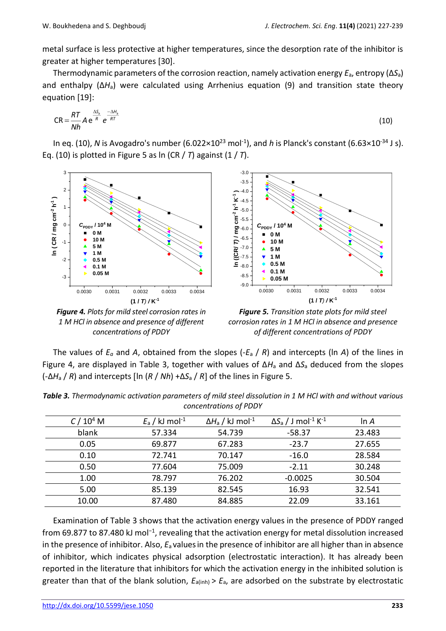metal surface is less protective at higher temperatures, since the desorption rate of the inhibitor is greater at higher temperatures [30].

Thermodynamic parameters of the corrosion reaction, namely activation energy *E*a, entropy (∆*S*a) and enthalpy (∆*H*a) were calculated using Arrhenius equation (9) and transition state theory equation [19]:

$$
CR = \frac{RT}{Nh} A e^{\frac{\Delta S_a}{R}} e^{\frac{-\Delta H_a}{RT}}
$$
 (10)

In eq. (10), *N* is Avogadro's number (6.022×10<sup>23</sup> mol<sup>-1</sup>), and *h* is Planck's constant (6.63×10<sup>-34</sup> J s). Eq. (10) is plotted in Figure 5 as ln (CR / *T*) against (1 / *T*).



*1 M HCl in absence and presence of different concentrations of PDDY*



The values of *E<sup>a</sup>* and *A*, obtained from the slopes (-*E*<sup>a</sup> / *R*) and intercepts (ln *A*) of the lines in Figure 4, are displayed in Table 3, together with values of Δ*H*<sup>a</sup> and Δ*S*<sup>a</sup> deduced from the slopes  $(-\Delta H_a / R)$  and intercepts [ln ( $R / Nh$ ) + $\Delta S_a / R$ ] of the lines in Figure 5.

| C / 10 <sup>4</sup> M | $E_a$ / kJ mol <sup>-1</sup> | $\Delta H_a$ / kJ mol <sup>-1</sup> | $\Delta S_a$ / J mol <sup>-1</sup> K <sup>-1</sup> | ln A   |
|-----------------------|------------------------------|-------------------------------------|----------------------------------------------------|--------|
| blank                 | 57.334                       | 54.739                              | $-58.37$                                           | 23.483 |
| 0.05                  | 69.877                       | 67.283                              | $-23.7$                                            | 27.655 |
| 0.10                  | 72.741                       | 70.147                              | $-16.0$                                            | 28.584 |
| 0.50                  | 77.604                       | 75.009                              | $-2.11$                                            | 30.248 |
| 1.00                  | 78.797                       | 76.202                              | $-0.0025$                                          | 30.504 |
| 5.00                  | 85.139                       | 82.545                              | 16.93                                              | 32.541 |
| 10.00                 | 87.480                       | 84.885                              | 22.09                                              | 33.161 |

*Table 3. Thermodynamic activation parameters of mild steel dissolution in 1 M HCl with and without various concentrations of PDDY*

Examination of Table 3 shows that the activation energy values in the presence of PDDY ranged from 69.877 to 87.480 kJ mol−1, revealing that the activation energy for metal dissolution increased in the presence of inhibitor. Also, *E*a valuesin the presence of inhibitor are all higher than in absence of inhibitor, which indicates physical adsorption (electrostatic interaction). It has already been reported in the literature that inhibitors for which the activation energy in the inhibited solution is greater than that of the blank solution,  $E_{a(int)} > E_a$ , are adsorbed on the substrate by electrostatic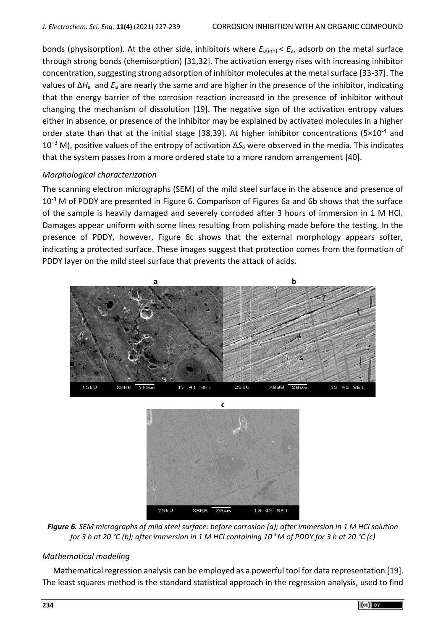bonds (physisorption). At the other side, inhibitors where *E*a(inh) < *E*a, adsorb on the metal surface through strong bonds (chemisorption) [31,32]. The activation energy rises with increasing inhibitor concentration, suggesting strong adsorption of inhibitor molecules at the metal surface [33-37]. The values of Δ*H*<sup>a</sup> and *E*<sup>a</sup> are nearly the same and are higher in the presence of the inhibitor, indicating that the energy barrier of the corrosion reaction increased in the presence of inhibitor without changing the mechanism of dissolution [19]. The negative sign of the activation entropy values either in absence, or presence of the inhibitor may be explained by activated molecules in a higher order state than that at the initial stage [38,39]. At higher inhibitor concentrations (5 $\times$ 10<sup>-4</sup> and 10−3 M), positive values of the entropy of activation Δ*S*<sup>a</sup> were observed in the media. This indicates that the system passes from a more ordered state to a more random arrangement [40].

## *Morphological characterization*

The scanning electron micrographs (SEM) of the mild steel surface in the absence and presence of  $10^{-3}$  M of PDDY are presented in Figure 6. Comparison of Figures 6a and 6b shows that the surface of the sample is heavily damaged and severely corroded after 3 hours of immersion in 1 M HCl. Damages appear uniform with some lines resulting from polishing made before the testing. In the presence of PDDY, however, Figure 6c shows that the external morphology appears softer, indicating a protected surface. These images suggest that protection comes from the formation of PDDY layer on the mild steel surface that prevents the attack of acids.





*Figure 6. SEM micrographs of mild steel surface: before corrosion (a); after immersion in 1 M HCl solution for 3 h at 20 °C (b); after immersion in 1 M HCl containing 10-3 M of PDDY for 3 h at 20 °C (c)*

## *Mathematical modeling*

Mathematical regression analysis can be employed as a powerful tool for data representation [19]. The least squares method is the standard statistical approach in the regression analysis, used to find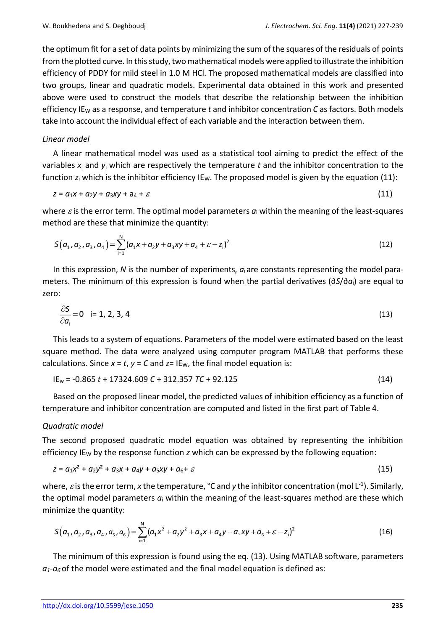the optimum fit for a set of data points by minimizing the sum of the squares of the residuals of points from the plotted curve. In this study, two mathematical models were applied to illustrate the inhibition efficiency of PDDY for mild steel in 1.0 M HCl. The proposed mathematical models are classified into two groups, linear and quadratic models. Experimental data obtained in this work and presented above were used to construct the models that describe the relationship between the inhibition efficiency IE<sup>W</sup> as a response, and temperature *t* and inhibitor concentration *C* as factors. Both models take into account the individual effect of each variable and the interaction between them.

### *Linear model*

A linear mathematical model was used as a statistical tool aiming to predict the effect of the variables *x*<sup>i</sup> and *y*<sup>i</sup> which are respectively the temperature *t* and the inhibitor concentration to the function  $z_i$  which is the inhibitor efficiency IE<sub>W</sub>. The proposed model is given by the equation (11):

$$
z = a_1x + a_2y + a_3xy + a_4 + \varepsilon \tag{11}
$$

where  $\varepsilon$  is the error term. The optimal model parameters  $a_i$  within the meaning of the least-squares method are these that minimize the quantity:

$$
S(a_1, a_2, a_3, a_4) = \sum_{i=1}^{N} (a_1x + a_2y + a_3xy + a_4 + \varepsilon - z_i)^2
$$
\n(12)

In this expression, *N* is the number of experiments, *a*i are constants representing the model parameters. The minimum of this expression is found when the partial derivatives (∂*S*/∂*a*i) are equal to zero:

$$
\frac{\partial S}{\partial a_i} = 0 \quad \text{if } 1, 2, 3, 4 \tag{13}
$$

This leads to a system of equations. Parameters of the model were estimated based on the least square method. The data were analyzed using computer program MATLAB that performs these calculations. Since  $x = t$ ,  $y = C$  and  $z = IE_w$ , the final model equation is:

$$
IE_w = -0.865 t + 17324.609 C + 312.357 TC + 92.125
$$
 (14)

Based on the proposed linear model, the predicted values of inhibition efficiency as a function of temperature and inhibitor concentration are computed and listed in the first part of Table 4.

#### *Quadratic model*

The second proposed quadratic model equation was obtained by representing the inhibition efficiency IE<sub>W</sub> by the response function *z* which can be expressed by the following equation:

$$
z = a_1x^2 + a_2y^2 + a_3x + a_4y + a_5xy + a_6 + \varepsilon
$$
 (15)

where,  $\varepsilon$  is the error term, x the temperature, °C and y the inhibitor concentration (mol L<sup>-1</sup>). Similarly, the optimal model parameters *a*<sup>i</sup> within the meaning of the least-squares method are these which minimize the quantity:

$$
\text{dimize the quantity:}
$$
\n
$$
S(a_1, a_2, a_3, a_4, a_5, a_6) = \sum_{i=1}^{N} (a_1 x^2 + a_2 y^2 + a_3 x + a_4 y + a_5 xy + a_6 + \varepsilon - z_i)^2 \tag{16}
$$

The minimum of this expression is found using the eq. (13). Using MATLAB software, parameters  $a_1$ - $a_6$  of the model were estimated and the final model equation is defined as: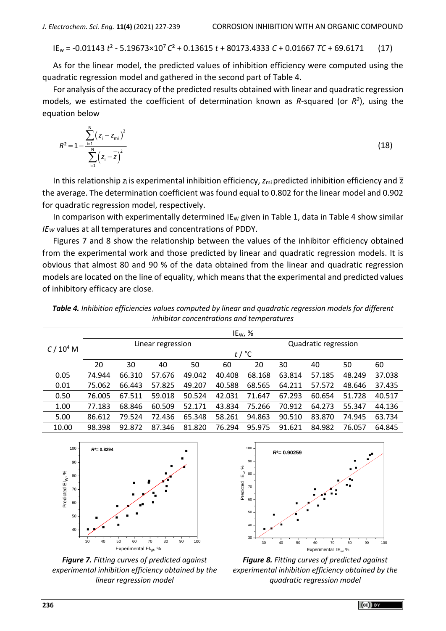IE<sup>w</sup> = -0.01143 *t*² - 5.19673×10<sup>7</sup> *C*² + 0.13615 *t* + 80173.4333 *C* + 0.01667 *TC* + 69.6171 (17)

As for the linear model, the predicted values of inhibition efficiency were computed using the quadratic regression model and gathered in the second part of Table 4.

For analysis of the accuracy of the predicted results obtained with linear and quadratic regression models, we estimated the coefficient of determination known as *R*-squared (or  $R^2$ ), using the equation below

$$
R^{2} = 1 - \frac{\sum_{i=1}^{N} (z_{i} - z_{\text{mi}})^{2}}{\sum_{i=1}^{N} (z_{i} - \overline{z})^{2}}
$$
(18)

In this relationship  $z_i$  is experimental inhibition efficiency,  $z_{mi}$  predicted inhibition efficiency and  $\bar{z}$ the average. The determination coefficient was found equal to 0.802 for the linear model and 0.902 for quadratic regression model, respectively.

In comparison with experimentally determined IE<sub>W</sub> given in Table 1, data in Table 4 show similar *IE<sup>W</sup>* values at all temperatures and concentrations of PDDY.

Figures 7 and 8 show the relationship between the values of the inhibitor efficiency obtained from the experimental work and those predicted by linear and quadratic regression models. It is obvious that almost 80 and 90 % of the data obtained from the linear and quadratic regression models are located on the line of equality, which means that the experimental and predicted values of inhibitory efficacy are close.

|                                           |  | Table 4. Inhibition efficiencies values computed by linear and quadratic regression models for different |  |  |  |  |  |
|-------------------------------------------|--|----------------------------------------------------------------------------------------------------------|--|--|--|--|--|
| inhibitor concentrations and temperatures |  |                                                                                                          |  |  |  |  |  |

| C / 10 <sup>4</sup> M | IE <sub>W</sub> , $%$ |        |        |        |        |                      |        |        |        |        |
|-----------------------|-----------------------|--------|--------|--------|--------|----------------------|--------|--------|--------|--------|
|                       | Linear regression     |        |        |        |        | Quadratic regression |        |        |        |        |
|                       | $t$ / $^{\circ}$ C    |        |        |        |        |                      |        |        |        |        |
|                       | 20                    | 30     | 40     | 50     | 60     | 20                   | 30     | 40     | 50     | 60     |
| 0.05                  | 74.944                | 66.310 | 57.676 | 49.042 | 40.408 | 68.168               | 63.814 | 57.185 | 48.249 | 37.038 |
| 0.01                  | 75.062                | 66.443 | 57.825 | 49.207 | 40.588 | 68.565               | 64.211 | 57.572 | 48.646 | 37.435 |
| 0.50                  | 76.005                | 67.511 | 59.018 | 50.524 | 42.031 | 71.647               | 67.293 | 60.654 | 51.728 | 40.517 |
| 1.00                  | 77.183                | 68.846 | 60.509 | 52.171 | 43.834 | 75.266               | 70.912 | 64.273 | 55.347 | 44.136 |
| 5.00                  | 86.612                | 79.524 | 72.436 | 65.348 | 58.261 | 94.863               | 90.510 | 83.870 | 74.945 | 63.734 |
| 10.00                 | 98.398                | 92.872 | 87.346 | 81.820 | 76.294 | 95.975               | 91.621 | 84.982 | 76.057 | 64.845 |



*Figure 7. Fitting curves of predicted against experimental inhibition efficiency obtained by the linear regression model*



*Figure 8. Fitting curves of predicted against experimental inhibition efficiency obtained by the quadratic regression model*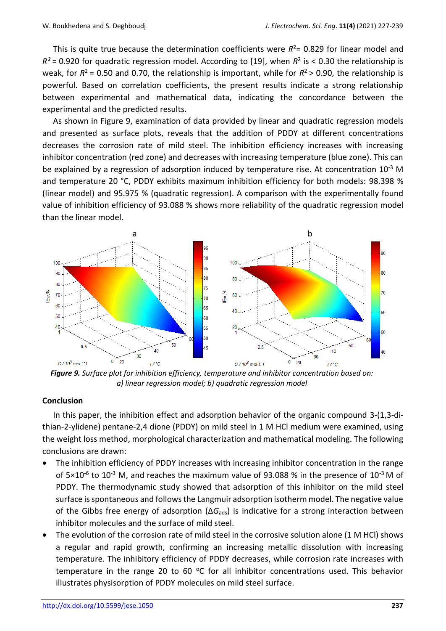This is quite true because the determination coefficients were  $R^2$  = 0.829 for linear model and  $R^2$  = 0.920 for quadratic regression model. According to [19], when  $R^2$  is < 0.30 the relationship is weak, for  $R^2$  = 0.50 and 0.70, the relationship is important, while for  $R^2$  > 0.90, the relationship is powerful. Based on correlation coefficients, the present results indicate a strong relationship between experimental and mathematical data, indicating the concordance between the experimental and the predicted results.

As shown in Figure 9, examination of data provided by linear and quadratic regression models and presented as surface plots, reveals that the addition of PDDY at different concentrations decreases the corrosion rate of mild steel. The inhibition efficiency increases with increasing inhibitor concentration (red zone) and decreases with increasing temperature (blue zone). This can be explained by a regression of adsorption induced by temperature rise. At concentration 10<sup>-3</sup> M and temperature 20 °C, PDDY exhibits maximum inhibition efficiency for both models: 98.398 % (linear model) and 95.975 % (quadratic regression). A comparison with the experimentally found value of inhibition efficiency of 93.088 % shows more reliability of the quadratic regression model than the linear model.



*Figure 9. Surface plot for inhibition efficiency, temperature and inhibitor concentration based on: a) linear regression model; b) quadratic regression model*

#### **Conclusion**

In this paper, the inhibition effect and adsorption behavior of the organic compound 3-(1,3-dithian-2-ylidene) pentane-2,4 dione (PDDY) on mild steel in 1 M HCl medium were examined, using the weight loss method, morphological characterization and mathematical modeling. The following conclusions are drawn:

- The inhibition efficiency of PDDY increases with increasing inhibitor concentration in the range of 5×10<sup>-6</sup> to 10<sup>-3</sup> M, and reaches the maximum value of 93.088 % in the presence of 10<sup>-3</sup> M of PDDY. The thermodynamic study showed that adsorption of this inhibitor on the mild steel surface is spontaneous and follows the Langmuir adsorption isotherm model. The negative value of the Gibbs free energy of adsorption (Δ*G*ads) is indicative for a strong interaction between inhibitor molecules and the surface of mild steel.
- The evolution of the corrosion rate of mild steel in the corrosive solution alone (1 M HCl) shows a regular and rapid growth, confirming an increasing metallic dissolution with increasing temperature. The inhibitory efficiency of PDDY decreases, while corrosion rate increases with temperature in the range 20 to 60  $^{\circ}$ C for all inhibitor concentrations used. This behavior illustrates physisorption of PDDY molecules on mild steel surface.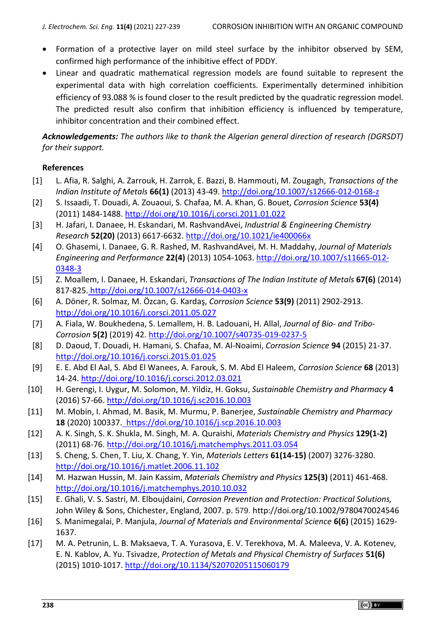- Formation of a protective layer on mild steel surface by the inhibitor observed by SEM, confirmed high performance of the inhibitive effect of PDDY.
- Linear and quadratic mathematical regression models are found suitable to represent the experimental data with high correlation coefficients. Experimentally determined inhibition efficiency of 93.088 % is found closer to the result predicted by the quadratic regression model. The predicted result also confirm that inhibition efficiency is influenced by temperature, inhibitor concentration and their combined effect.

*Acknowledgements: The authors like to thank the Algerian general direction of research (DGRSDT) for their support.*

## **References**

- [1] L. Afia, R. Salghi, A. Zarrouk, H. Zarrok, E. Bazzi, B. Hammouti, M. Zougagh, *Transactions of the Indian Institute of Metals* **66(1)** (2013) 43-49.<http://doi.org/10.1007/s12666-012-0168-z>
- [2] [S. Issaadi, T. Douadi, A. Zouaoui, S. Chafaa,](https://www.sciencedirect.com/science/article/abs/pii/S0010938X11000448#!) [M. A. Khan, G. Bouet,](https://www.sciencedirect.com/science/article/abs/pii/S0010938X11000448#!) *[Corrosion Science](https://www.sciencedirect.com/science/journal/0010938X)* **53(4)** (2011) 1484-1488.<http://doi.org/10.1016/j.corsci.2011.01.022>
- [3] [H. Jafari,](https://pubs.acs.org/action/doSearch?field1=Contrib&text1=Hojatollah++Jafari) [I. Danaee,](https://pubs.acs.org/action/doSearch?field1=Contrib&text1=Iman++Danaee) [H. Eskandari,](https://pubs.acs.org/action/doSearch?field1=Contrib&text1=Hadi++Eskandari) [M. RashvandAvei,](https://pubs.acs.org/action/doSearch?field1=Contrib&text1=Mehdi++RashvandAvei) *[Industrial & Engineering Chemistry](https://pubs.acs.org/iecr)  [Research](https://pubs.acs.org/iecr)* **52(20)** (2013) 6617-6632. <http://doi.org/10.1021/ie400066x>
- [4] [O. Ghasemi,](https://link.springer.com/article/10.1007/s11665-012-0348-3#auth-O_-Ghasemi) [I. Danaee,](https://link.springer.com/article/10.1007/s11665-012-0348-3#auth-I_-Danaee) [G. R. Rashed,](https://link.springer.com/article/10.1007/s11665-012-0348-3#auth-G__R_-Rashed) [M. RashvandAvei,](https://link.springer.com/article/10.1007/s11665-012-0348-3#auth-M_-RashvandAvei) [M. H. Maddahy,](https://link.springer.com/article/10.1007/s11665-012-0348-3#auth-M__H_-Maddahy) *[Journal of Materials](https://link.springer.com/journal/11665)  [Engineering and Performance](https://link.springer.com/journal/11665)* **22(4)** (2013) 1054-1063. [http://doi.org/10.1007/s11665-012-](http://doi.org/10.1007/s11665-012-0348-3) [0348-3](http://doi.org/10.1007/s11665-012-0348-3)
- [5] [Z. Moallem,](https://link.springer.com/article/10.1007/s12666-014-0403-x#auth-Z_-Moallem) [I. Danaee,](https://link.springer.com/article/10.1007/s12666-014-0403-x#auth-I_-Danaee) [H. Eskandari,](https://link.springer.com/article/10.1007/s12666-014-0403-x#auth-H_-Eskandari) *Transactions of The Indian Institute of Metals* **67(6)** (2014) 817-825. <http://doi.org/10.1007/s12666-014-0403-x>
- [6] A. [Döner, R. Solmaz,](https://www.sciencedirect.com/science/article/abs/pii/S0010938X11002496#!) [M. Özcan,](https://www.sciencedirect.com/science/article/abs/pii/S0010938X11002496#!) G. [Kardaş](https://www.sciencedirect.com/science/article/abs/pii/S0010938X11002496#!), *[Corrosion Science](https://www.sciencedirect.com/science/journal/0010938X)* **53(9)** (2011) 2902-2913. <http://doi.org/10.1016/j.corsci.2011.05.027>
- [7] A. Fiala, W. Boukhedena, S. Lemallem, H. B. Ladouani, [H. Allal,](https://link.springer.com/article/10.1007/s40735-019-0237-5#auth-Hamza-Allal) *[Journal of Bio-](https://link.springer.com/journal/40735) and Tribo-[Corrosion](https://link.springer.com/journal/40735)* **5(2)** (2019) 42. <http://doi.org/10.1007/s40735-019-0237-5>
- [8] D. Daoud, T. Douadi, H. Hamani, [S. Chafaa,](https://www.sciencedirect.com/science/article/abs/pii/S0010938X15000360#!) M. Al-Noaimi, *Corrosion Science* **94** (2015) 21-37. <http://doi.org/10.1016/j.corsci.2015.01.025>
- [9] E. E. Abd El Aal, S. Abd El Wanees, A. Farouk, S. M. Abd El Haleem, *Corrosion Science* **68** (2013) 14-24.<http://doi.org/10.1016/j.corsci.2012.03.021>
- [10] H. Gerengi, I. Uygur, M. Solomon, M. Yildiz, H. Goksu, *Sustainable Chemistry and Pharmacy* **4** (2016) 57-66. <http://doi.org/10.1016/j.sc2016.10.003>
- [11] [M. Mobin, I. Ahmad, M. Basik,](https://www.sciencedirect.com/science/article/abs/pii/S2352554120305763#!) [M. Murmu,](https://www.sciencedirect.com/science/article/abs/pii/S2352554120305763#!) [P. Banerjee,](https://www.sciencedirect.com/science/article/abs/pii/S2352554120305763#!) *[Sustainable](https://www.sciencedirect.com/science/journal/23525541) Chemistry and Pharmacy* **18** (2020) 100337. <https://doi.org/10.1016/j.scp.2016.10.003>
- [12] [A. K. Singh, S. K. Shukla, M. Singh, M. A. Quraishi,](https://www.sciencedirect.com/science/article/abs/pii/S0254058411002574#!) *Materials [Chemistry](https://www.sciencedirect.com/science/journal/02540584) and Physics* **129(1-2)** (2011) 68-76.<http://doi.org/10.1016/j.matchemphys.2011.03.054>
- [13] [S. Cheng,](https://www.sciencedirect.com/science/article/abs/pii/S0167577X0601367X#!) [S. Chen,](https://www.sciencedirect.com/science/article/abs/pii/S0167577X0601367X#!) [T. Liu,](https://www.sciencedirect.com/science/article/abs/pii/S0167577X0601367X#!) [X. Chang, Y](https://www.sciencedirect.com/science/article/abs/pii/S0167577X0601367X#!). [Yin,](https://www.sciencedirect.com/science/article/abs/pii/S0167577X0601367X#!) *[Materials](https://www.sciencedirect.com/science/journal/0167577X) Letters* **61(14-15)** (2007) 3276-3280. <http://doi.org/10.1016/j.matlet.2006.11.102>
- [14] [M. Hazwan](https://www.sciencedirect.com/science/article/abs/pii/S0254058410008631#!) Hussin, [M. Jain](https://www.sciencedirect.com/science/article/abs/pii/S0254058410008631#!) Kassim, *Materials [Chemistry](https://www.sciencedirect.com/science/journal/02540584) and Physics* **125(3)** (2011) 461-468. <http://doi.org/10.1016/j.matchemphys.2010.10.032>
- [15] E. Ghali, V. S. Sastri, M. Elboujdaini, *Corrosion Prevention and Protection: Practical Solutions,* John Wiley & Sons, Chichester, England, 2007. p. 579. http://doi.org/10.1002/9780470024546
- [16] S. Manimegalai, P. Manjula, *Journal of Materials and Environmental Science* **6(6)** (2015) 1629- 1637.
- [17] M. A. [Petrunin, L](https://ur.booksc.eu/g/Petrunin,%20M.%20A.). B. [Maksaeva,](https://ur.booksc.eu/g/Maksaeva,%20L.%20B.) T. A. [Yurasova, E](https://ur.booksc.eu/g/Yurasova,%20T.%20A.). V. [Terekhova, M](https://ur.booksc.eu/g/Terekhova,%20E.%20V.). A. [Maleeva,](https://ur.booksc.eu/g/Maleeva,%20M.%20A.) V. A. [Kotenev,](https://ur.booksc.eu/g/Kotenev,%20V.%20A.)  E. N. [Kablov,](https://ur.booksc.eu/g/Kablov,%20E.%20N.) A. Yu. [Tsivadze,](https://ur.booksc.eu/g/Tsivadze,%20A.%20Yu.) *[Protection of Metals and Physical Chemistry of Surfaces](https://ur.booksc.eu/journal/20303)* **51(6)** (2015) 1010-1017.<http://doi.org/10.1134/S2070205115060179>